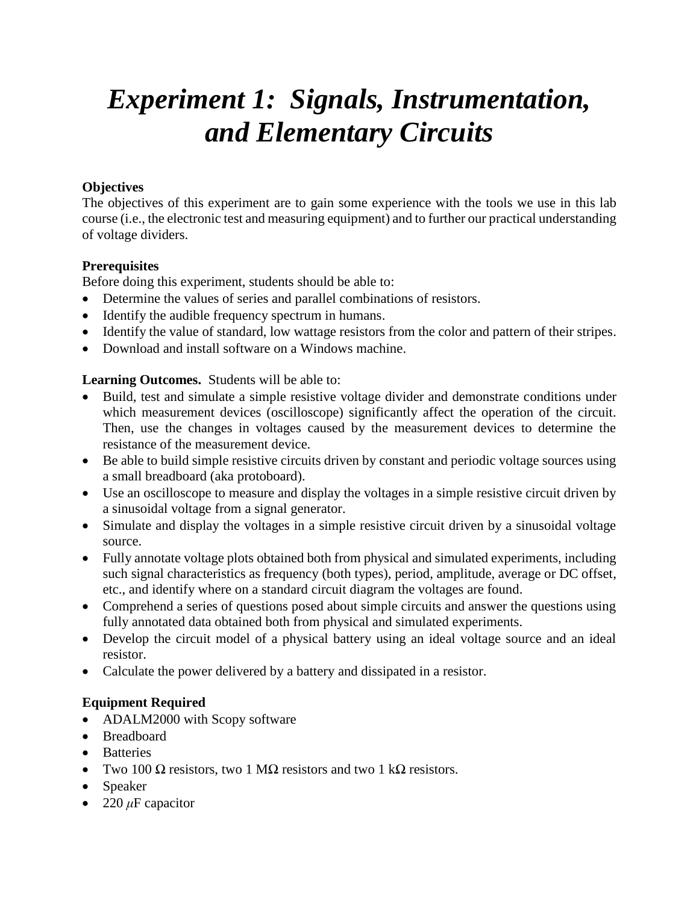# *Experiment 1: Signals, Instrumentation, and Elementary Circuits*

## **Objectives**

The objectives of this experiment are to gain some experience with the tools we use in this lab course (i.e., the electronic test and measuring equipment) and to further our practical understanding of voltage dividers.

## **Prerequisites**

Before doing this experiment, students should be able to:

- Determine the values of series and parallel combinations of resistors.
- Identify the audible frequency spectrum in humans.
- Identify the value of standard, low wattage resistors from the color and pattern of their stripes.
- Download and install software on a Windows machine.

## **Learning Outcomes.** Students will be able to:

- Build, test and simulate a simple resistive voltage divider and demonstrate conditions under which measurement devices (oscilloscope) significantly affect the operation of the circuit. Then, use the changes in voltages caused by the measurement devices to determine the resistance of the measurement device.
- Be able to build simple resistive circuits driven by constant and periodic voltage sources using a small breadboard (aka protoboard).
- Use an oscilloscope to measure and display the voltages in a simple resistive circuit driven by a sinusoidal voltage from a signal generator.
- Simulate and display the voltages in a simple resistive circuit driven by a sinusoidal voltage source.
- Fully annotate voltage plots obtained both from physical and simulated experiments, including such signal characteristics as frequency (both types), period, amplitude, average or DC offset, etc., and identify where on a standard circuit diagram the voltages are found.
- Comprehend a series of questions posed about simple circuits and answer the questions using fully annotated data obtained both from physical and simulated experiments.
- Develop the circuit model of a physical battery using an ideal voltage source and an ideal resistor.
- Calculate the power delivered by a battery and dissipated in a resistor.

## **Equipment Required**

- ADALM2000 with Scopy software
- Breadboard
- Batteries
- Two 100  $\Omega$  resistors, two 1 M $\Omega$  resistors and two 1 k $\Omega$  resistors.
- Speaker
- 220  $\mu$ F capacitor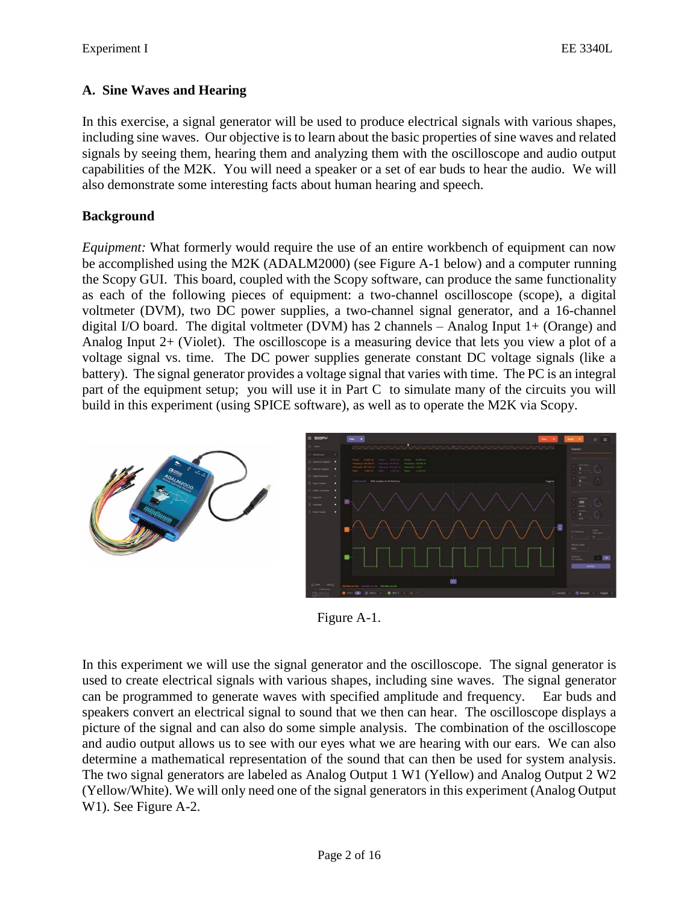## **A. Sine Waves and Hearing**

In this exercise, a signal generator will be used to produce electrical signals with various shapes, including sine waves. Our objective is to learn about the basic properties of sine waves and related signals by seeing them, hearing them and analyzing them with the oscilloscope and audio output capabilities of the M2K. You will need a speaker or a set of ear buds to hear the audio. We will also demonstrate some interesting facts about human hearing and speech.

## **Background**

*Equipment:* What formerly would require the use of an entire workbench of equipment can now be accomplished using the M2K (ADALM2000) (see Figure A-1 below) and a computer running the Scopy GUI. This board, coupled with the Scopy software, can produce the same functionality as each of the following pieces of equipment: a two-channel oscilloscope (scope), a digital voltmeter (DVM), two DC power supplies, a two-channel signal generator, and a 16-channel digital I/O board. The digital voltmeter (DVM) has 2 channels – Analog Input 1+ (Orange) and Analog Input 2+ (Violet). The oscilloscope is a measuring device that lets you view a plot of a voltage signal vs. time. The DC power supplies generate constant DC voltage signals (like a battery). The signal generator provides a voltage signal that varies with time. The PC is an integral part of the equipment setup; you will use it in Part C to simulate many of the circuits you will build in this experiment (using SPICE software), as well as to operate the M2K via Scopy.



Figure A-1.

In this experiment we will use the signal generator and the oscilloscope. The signal generator is used to create electrical signals with various shapes, including sine waves. The signal generator can be programmed to generate waves with specified amplitude and frequency. Ear buds and speakers convert an electrical signal to sound that we then can hear. The oscilloscope displays a picture of the signal and can also do some simple analysis. The combination of the oscilloscope and audio output allows us to see with our eyes what we are hearing with our ears. We can also determine a mathematical representation of the sound that can then be used for system analysis. The two signal generators are labeled as Analog Output 1 W1 (Yellow) and Analog Output 2 W2 (Yellow/White). We will only need one of the signal generators in this experiment (Analog Output W1). See Figure A-2.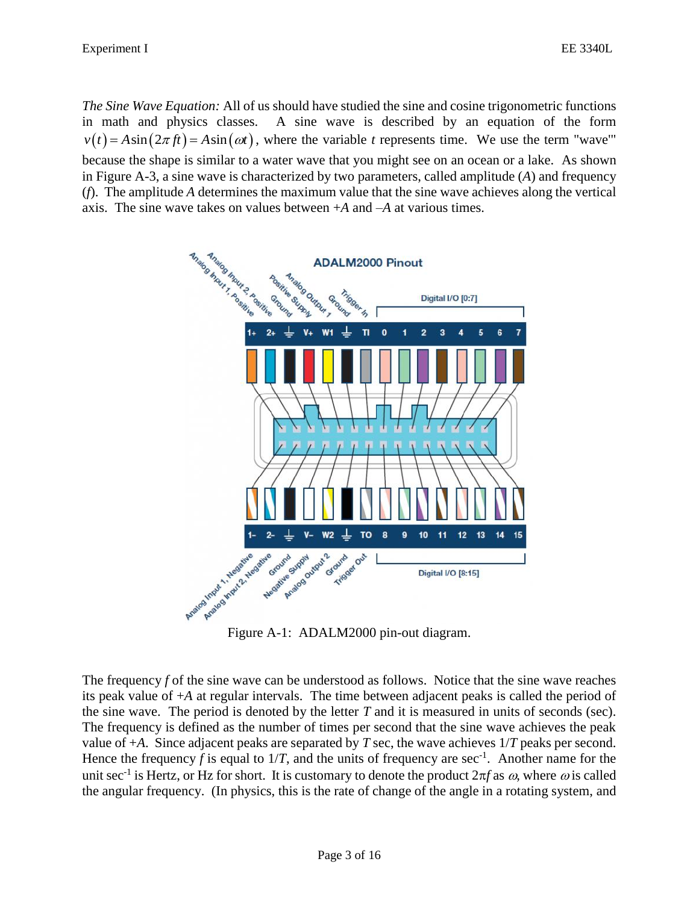*The Sine Wave Equation:* All of us should have studied the sine and cosine trigonometric functions in math and physics classes. A sine wave is described by an equation of the form  $v(t) = A\sin(2\pi ft) = A\sin(\omega t)$ , where the variable *t* represents time. We use the term "wave" because the shape is similar to a water wave that you might see on an ocean or a lake. As shown in Figure A-3, a sine wave is characterized by two parameters, called amplitude (*A*) and frequency (*f*). The amplitude *A* determines the maximum value that the sine wave achieves along the vertical axis. The sine wave takes on values between +*A* and –*A* at various times.



The frequency *f* of the sine wave can be understood as follows. Notice that the sine wave reaches its peak value of +*A* at regular intervals. The time between adjacent peaks is called the period of the sine wave. The period is denoted by the letter *T* and it is measured in units of seconds (sec). The frequency is defined as the number of times per second that the sine wave achieves the peak value of +*A*. Since adjacent peaks are separated by *T* sec, the wave achieves 1/*T* peaks per second. Hence the frequency f is equal to  $1/T$ , and the units of frequency are sec<sup>-1</sup>. Another name for the unit sec<sup>-1</sup> is Hertz, or Hz for short. It is customary to denote the product  $2\pi f$  as  $\omega$ , where  $\omega$  is called the angular frequency. (In physics, this is the rate of change of the angle in a rotating system, and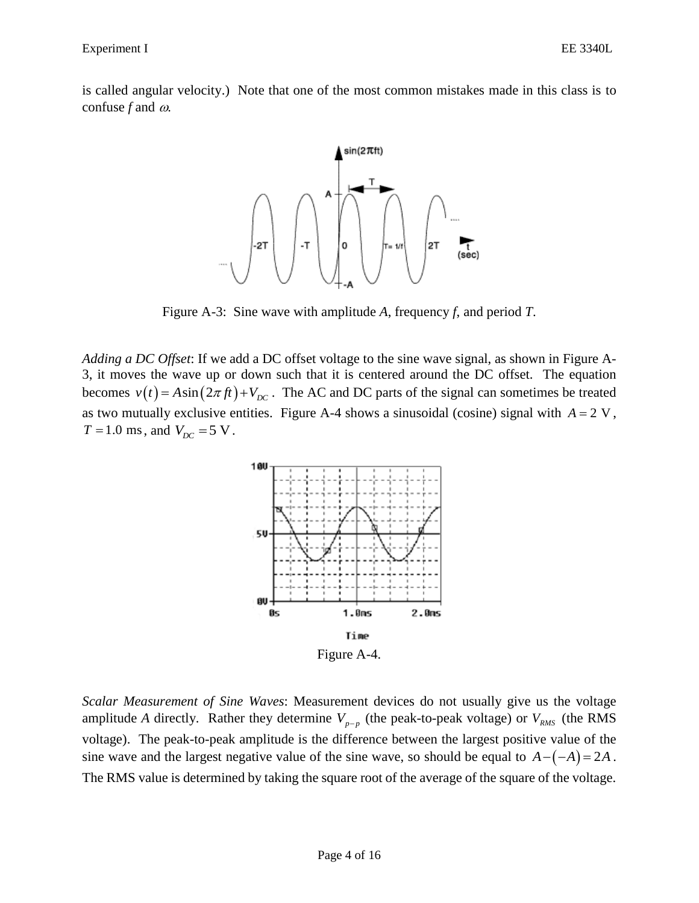is called angular velocity.) Note that one of the most common mistakes made in this class is to confuse  $f$  and  $\omega$ .



Figure A-3: Sine wave with amplitude *A*, frequency *f*, and period *T*.

*Adding a DC Offset*: If we add a DC offset voltage to the sine wave signal, as shown in Figure A-3, it moves the wave up or down such that it is centered around the DC offset. The equation becomes  $v(t) = A\sin(2\pi ft) + V_{DC}$ . The AC and DC parts of the signal can sometimes be treated as two mutually exclusive entities. Figure A-4 shows a sinusoidal (cosine) signal with  $A = 2$  V,  $T = 1.0$  ms, and  $V_{DC} = 5$  V.



Figure A-4.

*Scalar Measurement of Sine Waves*: Measurement devices do not usually give us the voltage amplitude A directly. Rather they determine  $V_{p-p}$  (the peak-to-peak voltage) or  $V_{RMS}$  (the RMS voltage). The peak-to-peak amplitude is the difference between the largest positive value of the sine wave and the largest negative value of the sine wave, so should be equal to  $A - (-A) = 2A$ . The RMS value is determined by taking the square root of the average of the square of the voltage.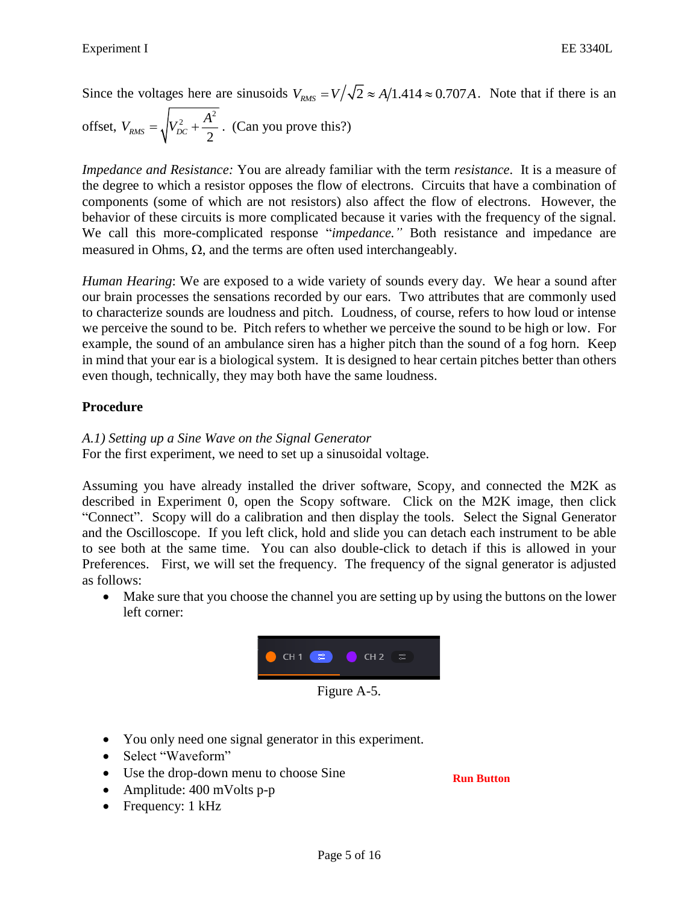Since the voltages here are sinusoids  $V_{RMS} = V/\sqrt{2} \approx A/1.414 \approx 0.707A$ . Note that if there is an offset,  $V_{RMS} = \sqrt{V_{DC}^2 + \frac{A^2}{2}}$  $RMS = V^{\prime}DC + 2$  $V_{RMS} = \sqrt{V_{DC}^2 + \frac{A^2}{\epsilon}}$ . (Can you prove this?)

*Impedance and Resistance:* You are already familiar with the term *resistance*. It is a measure of the degree to which a resistor opposes the flow of electrons. Circuits that have a combination of components (some of which are not resistors) also affect the flow of electrons. However, the behavior of these circuits is more complicated because it varies with the frequency of the signal. We call this more-complicated response "*impedance."* Both resistance and impedance are measured in Ohms,  $\Omega$ , and the terms are often used interchangeably.

*Human Hearing*: We are exposed to a wide variety of sounds every day. We hear a sound after our brain processes the sensations recorded by our ears. Two attributes that are commonly used to characterize sounds are loudness and pitch. Loudness, of course, refers to how loud or intense we perceive the sound to be. Pitch refers to whether we perceive the sound to be high or low. For example, the sound of an ambulance siren has a higher pitch than the sound of a fog horn. Keep in mind that your ear is a biological system. It is designed to hear certain pitches better than others even though, technically, they may both have the same loudness.

## **Procedure**

*A.1) Setting up a Sine Wave on the Signal Generator*

For the first experiment, we need to set up a sinusoidal voltage.

Assuming you have already installed the driver software, Scopy, and connected the M2K as described in Experiment 0, open the Scopy software. Click on the M2K image, then click "Connect". Scopy will do a calibration and then display the tools. Select the Signal Generator and the Oscilloscope. If you left click, hold and slide you can detach each instrument to be able to see both at the same time. You can also double-click to detach if this is allowed in your Preferences. First, we will set the frequency. The frequency of the signal generator is adjusted as follows:

• Make sure that you choose the channel you are setting up by using the buttons on the lower left corner:



- You only need one signal generator in this experiment.
- Select "Waveform"
- Use the drop-down menu to choose Sine
- Amplitude: 400 mVolts p-p
- Frequency: 1 kHz

**Run Button**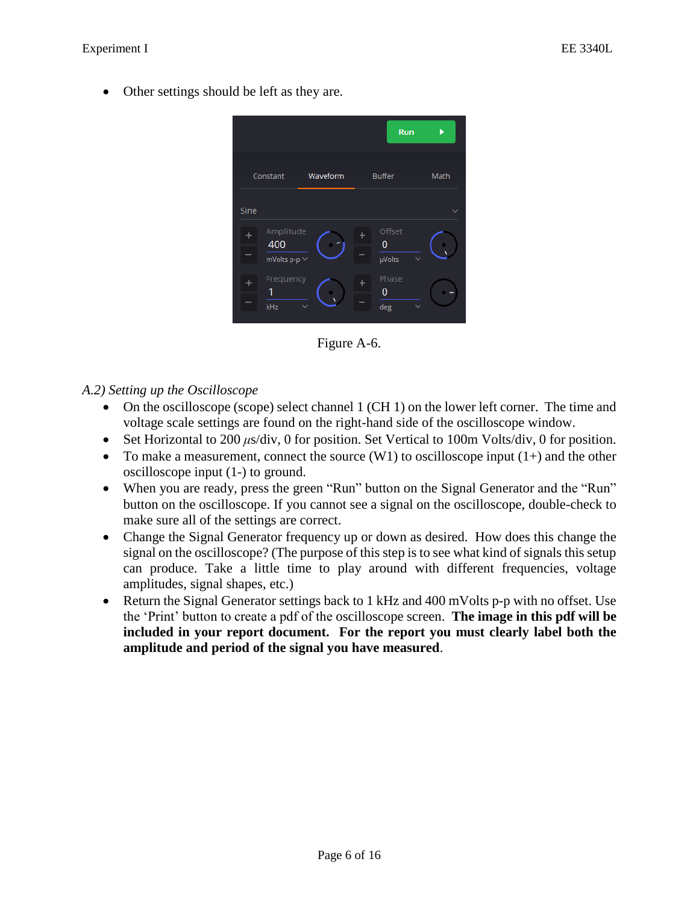• Other settings should be left as they are.



Figure A-6.

## *A.2) Setting up the Oscilloscope*

- On the oscilloscope (scope) select channel 1 (CH 1) on the lower left corner. The time and voltage scale settings are found on the right-hand side of the oscilloscope window.
- Set Horizontal to 200 *μs*/div, 0 for position. Set Vertical to 100m Volts/div, 0 for position.
- To make a measurement, connect the source  $(W1)$  to oscilloscope input  $(1+)$  and the other oscilloscope input (1-) to ground.
- When you are ready, press the green "Run" button on the Signal Generator and the "Run" button on the oscilloscope. If you cannot see a signal on the oscilloscope, double-check to make sure all of the settings are correct.
- Change the Signal Generator frequency up or down as desired. How does this change the signal on the oscilloscope? (The purpose of this step is to see what kind of signals this setup can produce. Take a little time to play around with different frequencies, voltage amplitudes, signal shapes, etc.)
- Return the Signal Generator settings back to 1 kHz and 400 mVolts p-p with no offset. Use the 'Print' button to create a pdf of the oscilloscope screen. **The image in this pdf will be included in your report document. For the report you must clearly label both the amplitude and period of the signal you have measured**.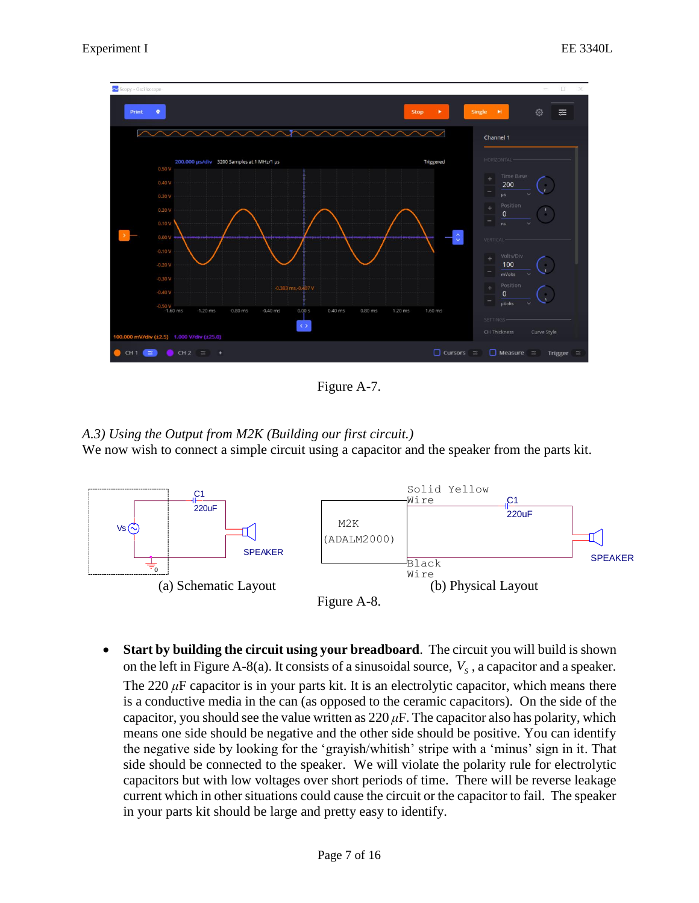

Figure A-7.

## *A.3) Using the Output from M2K (Building our first circuit.)* We now wish to connect a simple circuit using a capacitor and the speaker from the parts kit.



• **Start by building the circuit using your breadboard**. The circuit you will build is shown on the left in Figure A-8(a). It consists of a sinusoidal source,  $V_s$ , a capacitor and a speaker.

The 220  $\mu$ F capacitor is in your parts kit. It is an electrolytic capacitor, which means there is a conductive media in the can (as opposed to the ceramic capacitors). On the side of the capacitor, you should see the value written as  $220 \mu$ F. The capacitor also has polarity, which means one side should be negative and the other side should be positive. You can identify the negative side by looking for the 'grayish/whitish' stripe with a 'minus' sign in it. That side should be connected to the speaker. We will violate the polarity rule for electrolytic capacitors but with low voltages over short periods of time. There will be reverse leakage current which in other situations could cause the circuit or the capacitor to fail. The speaker in your parts kit should be large and pretty easy to identify.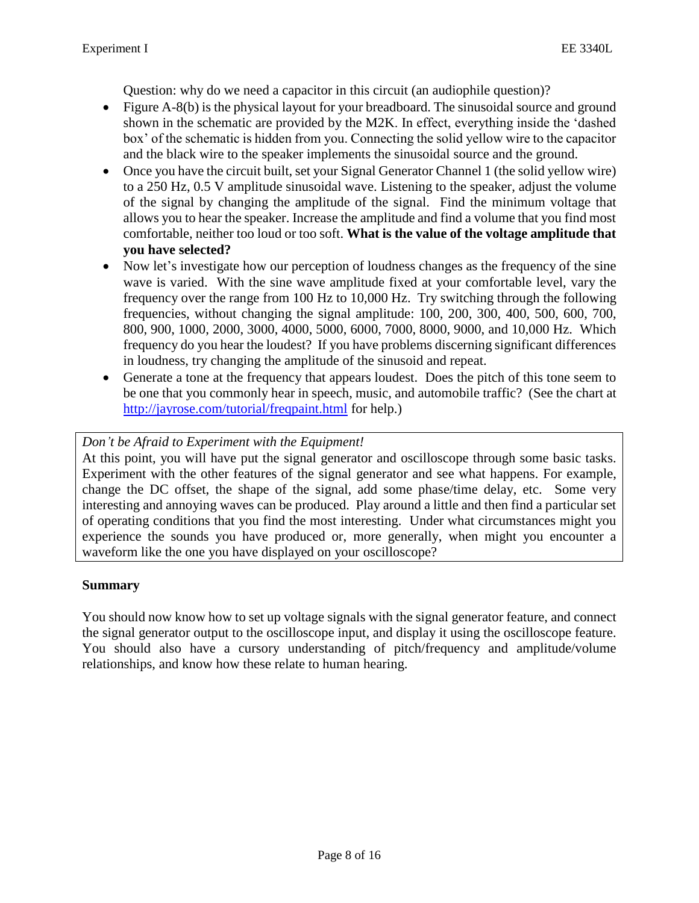Question: why do we need a capacitor in this circuit (an audiophile question)?

- Figure A-8(b) is the physical layout for your breadboard. The sinusoidal source and ground shown in the schematic are provided by the M2K. In effect, everything inside the 'dashed box' of the schematic is hidden from you. Connecting the solid yellow wire to the capacitor and the black wire to the speaker implements the sinusoidal source and the ground.
- Once you have the circuit built, set your Signal Generator Channel 1 (the solid yellow wire) to a 250 Hz, 0.5 V amplitude sinusoidal wave. Listening to the speaker, adjust the volume of the signal by changing the amplitude of the signal. Find the minimum voltage that allows you to hear the speaker. Increase the amplitude and find a volume that you find most comfortable, neither too loud or too soft. **What is the value of the voltage amplitude that you have selected?**
- Now let's investigate how our perception of loudness changes as the frequency of the sine wave is varied. With the sine wave amplitude fixed at your comfortable level, vary the frequency over the range from 100 Hz to 10,000 Hz. Try switching through the following frequencies, without changing the signal amplitude: 100, 200, 300, 400, 500, 600, 700, 800, 900, 1000, 2000, 3000, 4000, 5000, 6000, 7000, 8000, 9000, and 10,000 Hz. Which frequency do you hear the loudest? If you have problems discerning significant differences in loudness, try changing the amplitude of the sinusoid and repeat.
- Generate a tone at the frequency that appears loudest. Does the pitch of this tone seem to be one that you commonly hear in speech, music, and automobile traffic? (See the chart at <http://jayrose.com/tutorial/freqpaint.html> for help.)

## *Don't be Afraid to Experiment with the Equipment!*

At this point, you will have put the signal generator and oscilloscope through some basic tasks. Experiment with the other features of the signal generator and see what happens. For example, change the DC offset, the shape of the signal, add some phase/time delay, etc. Some very interesting and annoying waves can be produced. Play around a little and then find a particular set of operating conditions that you find the most interesting. Under what circumstances might you experience the sounds you have produced or, more generally, when might you encounter a waveform like the one you have displayed on your oscilloscope?

## **Summary**

You should now know how to set up voltage signals with the signal generator feature, and connect the signal generator output to the oscilloscope input, and display it using the oscilloscope feature. You should also have a cursory understanding of pitch/frequency and amplitude/volume relationships, and know how these relate to human hearing.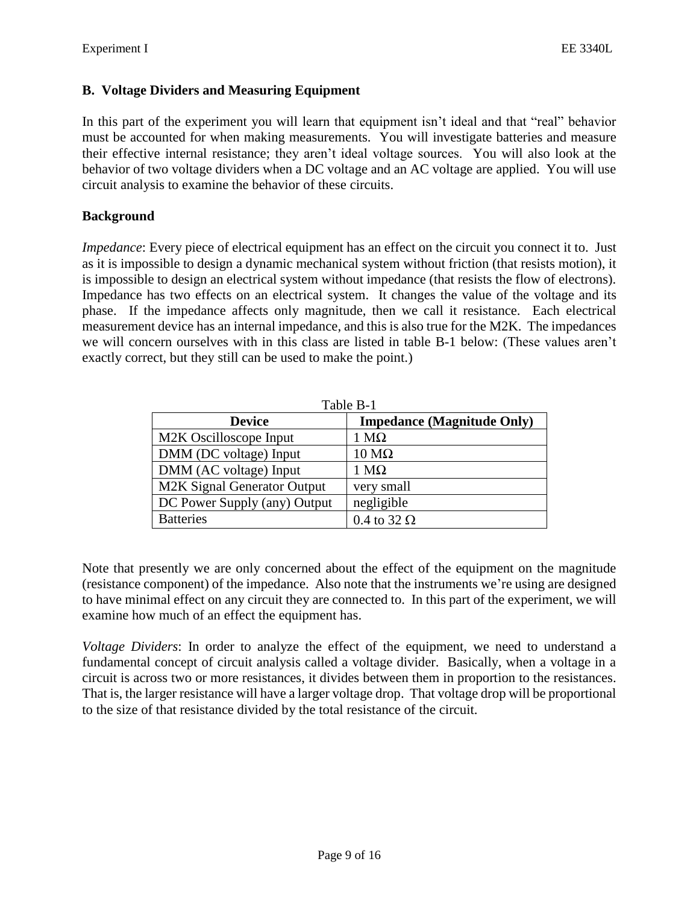#### **B. Voltage Dividers and Measuring Equipment**

In this part of the experiment you will learn that equipment isn't ideal and that "real" behavior must be accounted for when making measurements. You will investigate batteries and measure their effective internal resistance; they aren't ideal voltage sources. You will also look at the behavior of two voltage dividers when a DC voltage and an AC voltage are applied. You will use circuit analysis to examine the behavior of these circuits.

#### **Background**

*Impedance*: Every piece of electrical equipment has an effect on the circuit you connect it to. Just as it is impossible to design a dynamic mechanical system without friction (that resists motion), it is impossible to design an electrical system without impedance (that resists the flow of electrons). Impedance has two effects on an electrical system. It changes the value of the voltage and its phase. If the impedance affects only magnitude, then we call it resistance. Each electrical measurement device has an internal impedance, and this is also true for the M2K. The impedances we will concern ourselves with in this class are listed in table B-1 below: (These values aren't exactly correct, but they still can be used to make the point.)

| Table B-1                    |                                   |
|------------------------------|-----------------------------------|
| <b>Device</b>                | <b>Impedance (Magnitude Only)</b> |
| M2K Oscilloscope Input       | $1 M\Omega$                       |
| DMM (DC voltage) Input       | $10 \text{ M}\Omega$              |
| DMM (AC voltage) Input       | $1 M\Omega$                       |
| M2K Signal Generator Output  | very small                        |
| DC Power Supply (any) Output | negligible                        |
| <b>Batteries</b>             | 0.4 to 32 $\Omega$                |

Note that presently we are only concerned about the effect of the equipment on the magnitude (resistance component) of the impedance. Also note that the instruments we're using are designed to have minimal effect on any circuit they are connected to. In this part of the experiment, we will examine how much of an effect the equipment has.

*Voltage Dividers*: In order to analyze the effect of the equipment, we need to understand a fundamental concept of circuit analysis called a voltage divider. Basically, when a voltage in a circuit is across two or more resistances, it divides between them in proportion to the resistances. That is, the larger resistance will have a larger voltage drop. That voltage drop will be proportional to the size of that resistance divided by the total resistance of the circuit.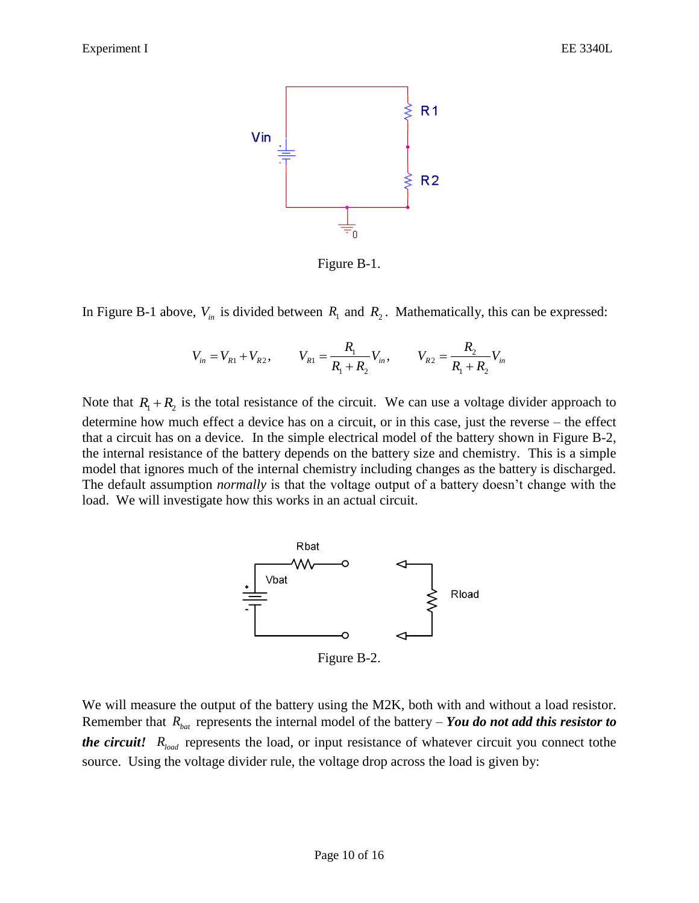

Figure B-1.

In Figure B-1 above,  $V_{in}$  is divided between  $R_1$  and  $R_2$ . Mathematically, this can be expressed:

$$
V_{in} = V_{R1} + V_{R2}, \qquad V_{R1} = \frac{R_1}{R_1 + R_2} V_{in}, \qquad V_{R2} = \frac{R_2}{R_1 + R_2} V_{in}
$$

Note that  $R_1 + R_2$  is the total resistance of the circuit. We can use a voltage divider approach to determine how much effect a device has on a circuit, or in this case, just the reverse – the effect that a circuit has on a device. In the simple electrical model of the battery shown in Figure B-2, the internal resistance of the battery depends on the battery size and chemistry. This is a simple model that ignores much of the internal chemistry including changes as the battery is discharged. The default assumption *normally* is that the voltage output of a battery doesn't change with the load. We will investigate how this works in an actual circuit.



Figure B-2.

We will measure the output of the battery using the M2K, both with and without a load resistor. Remember that  $R_{bat}$  represents the internal model of the battery – *You do not add this resistor to the circuit!*  $R_{load}$  represents the load, or input resistance of whatever circuit you connect tothe source. Using the voltage divider rule, the voltage drop across the load is given by: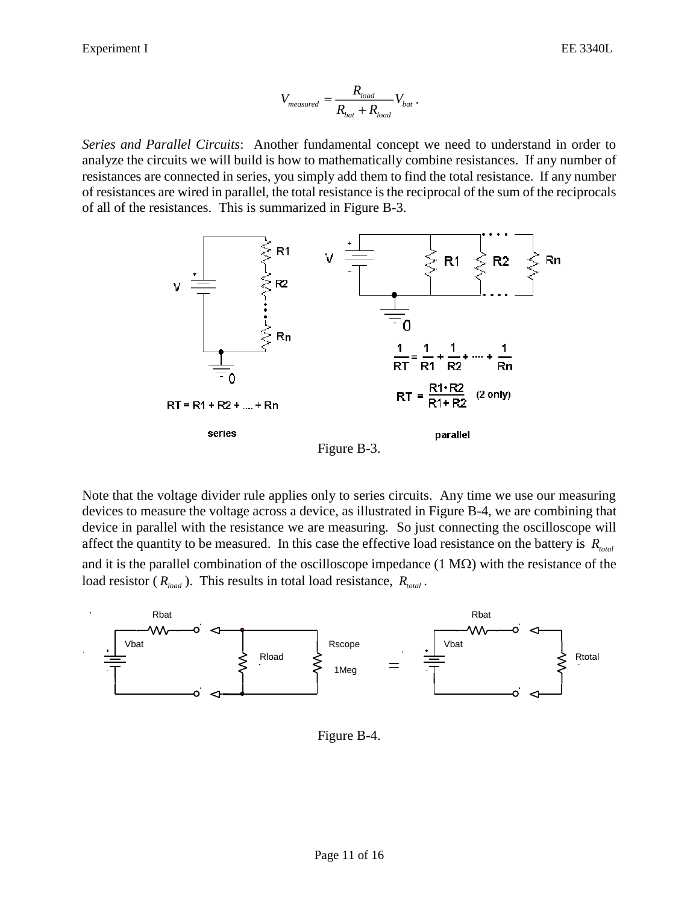$$
V_{measured} = \frac{R_{load}}{R_{bat} + R_{load}} V_{bat}.
$$

*Series and Parallel Circuits*: Another fundamental concept we need to understand in order to analyze the circuits we will build is how to mathematically combine resistances. If any number of resistances are connected in series, you simply add them to find the total resistance. If any number of resistances are wired in parallel, the total resistance is the reciprocal of the sum of the reciprocals of all of the resistances. This is summarized in Figure B-3.



Note that the voltage divider rule applies only to series circuits. Any time we use our measuring devices to measure the voltage across a device, as illustrated in Figure B-4, we are combining that device in parallel with the resistance we are measuring. So just connecting the oscilloscope will affect the quantity to be measured. In this case the effective load resistance on the battery is *Rtotal* and it is the parallel combination of the oscilloscope impedance  $(1 M\Omega)$  with the resistance of the load resistor ( $R_{load}$ ). This results in total load resistance,  $R_{total}$ .



Figure B-4.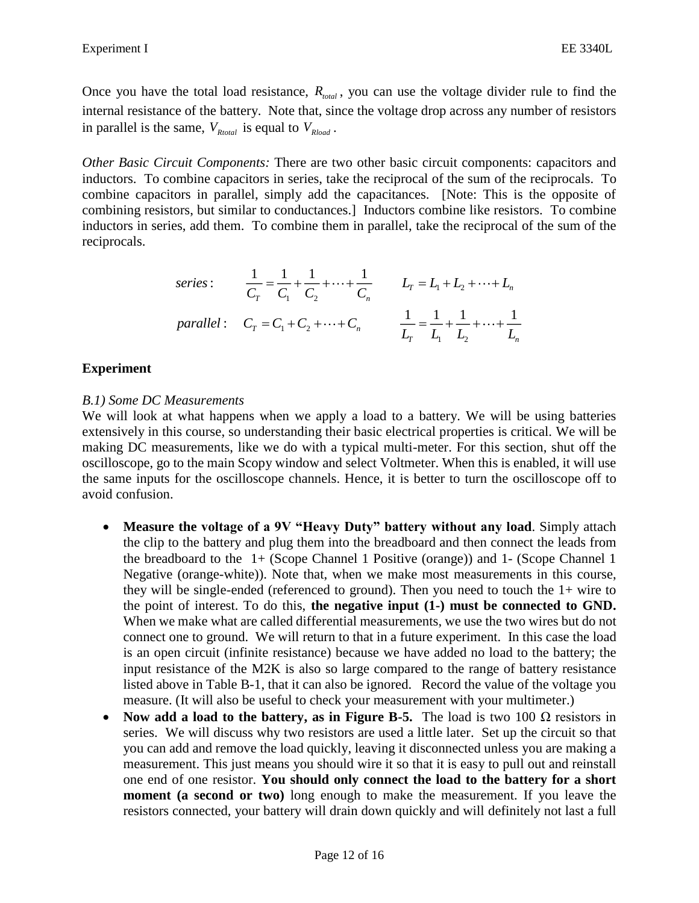Once you have the total load resistance,  $R_{total}$ , you can use the voltage divider rule to find the internal resistance of the battery. Note that, since the voltage drop across any number of resistors in parallel is the same,  $V_{Rtotal}$  is equal to  $V_{Rload}$ .

*Other Basic Circuit Components:* There are two other basic circuit components: capacitors and inductors. To combine capacitors in series, take the reciprocal of the sum of the reciprocals. To combine capacitors in parallel, simply add the capacitances. [Note: This is the opposite of combining resistors, but similar to conductances.] Inductors combine like resistors. To combine inductors in series, add them. To combine them in parallel, take the reciprocal of the sum of the reciprocals.

series: 
$$
\frac{1}{C_T} = \frac{1}{C_1} + \frac{1}{C_2} + \dots + \frac{1}{C_n} \qquad L_T = L_1 + L_2 + \dots + L_n
$$
  
parallel: 
$$
C_T = C_1 + C_2 + \dots + C_n \qquad \frac{1}{L_T} = \frac{1}{L_1} + \frac{1}{L_2} + \dots + \frac{1}{L_n}
$$

## **Experiment**

#### *B.1) Some DC Measurements*

We will look at what happens when we apply a load to a battery. We will be using batteries extensively in this course, so understanding their basic electrical properties is critical. We will be making DC measurements, like we do with a typical multi-meter. For this section, shut off the oscilloscope, go to the main Scopy window and select Voltmeter. When this is enabled, it will use the same inputs for the oscilloscope channels. Hence, it is better to turn the oscilloscope off to avoid confusion.

- **Measure the voltage of a 9V "Heavy Duty" battery without any load**. Simply attach the clip to the battery and plug them into the breadboard and then connect the leads from the breadboard to the 1+ (Scope Channel 1 Positive (orange)) and 1- (Scope Channel 1 Negative (orange-white)). Note that, when we make most measurements in this course, they will be single-ended (referenced to ground). Then you need to touch the  $1+$  wire to the point of interest. To do this, **the negative input (1-) must be connected to GND.**  When we make what are called differential measurements, we use the two wires but do not connect one to ground. We will return to that in a future experiment. In this case the load is an open circuit (infinite resistance) because we have added no load to the battery; the input resistance of the M2K is also so large compared to the range of battery resistance listed above in Table B-1, that it can also be ignored. Record the value of the voltage you measure. (It will also be useful to check your measurement with your multimeter.)
- **Now add a load to the battery, as in Figure B-5.** The load is two 100 Ω resistors in series. We will discuss why two resistors are used a little later. Set up the circuit so that you can add and remove the load quickly, leaving it disconnected unless you are making a measurement. This just means you should wire it so that it is easy to pull out and reinstall one end of one resistor. **You should only connect the load to the battery for a short moment** (a second or two) long enough to make the measurement. If you leave the resistors connected, your battery will drain down quickly and will definitely not last a full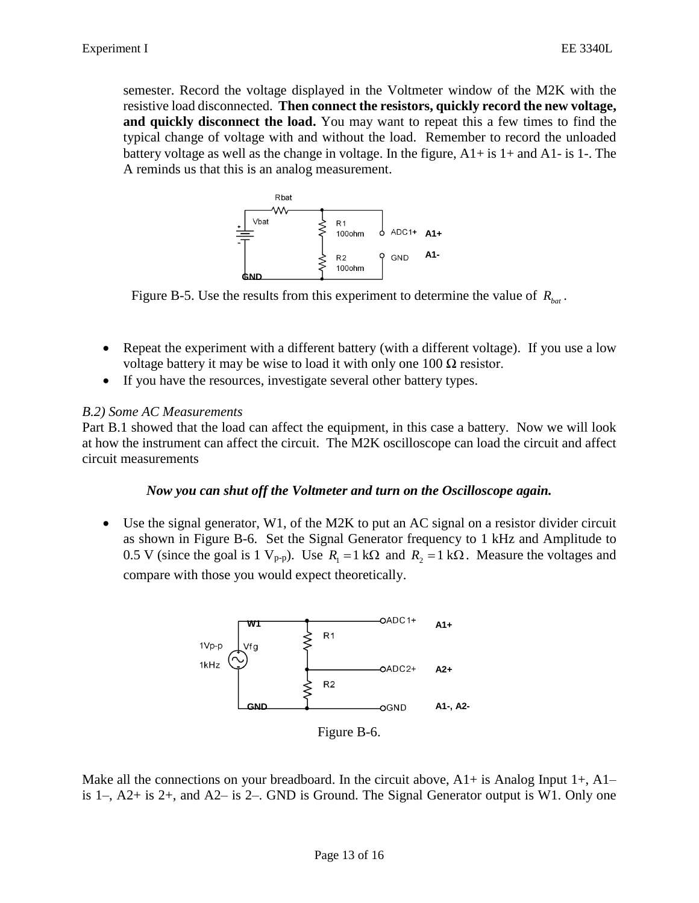semester. Record the voltage displayed in the Voltmeter window of the M2K with the resistive load disconnected. **Then connect the resistors, quickly record the new voltage, and quickly disconnect the load.** You may want to repeat this a few times to find the typical change of voltage with and without the load. Remember to record the unloaded battery voltage as well as the change in voltage. In the figure,  $A1+$  is  $1+$  and  $A1-$  is  $1-$ . The A reminds us that this is an analog measurement.



Figure B-5. Use the results from this experiment to determine the value of  $R_{bat}$ .

- Repeat the experiment with a different battery (with a different voltage). If you use a low voltage battery it may be wise to load it with only one 100  $\Omega$  resistor.
- If you have the resources, investigate several other battery types.

#### *B.2) Some AC Measurements*

Part B.1 showed that the load can affect the equipment, in this case a battery. Now we will look at how the instrument can affect the circuit. The M2K oscilloscope can load the circuit and affect circuit measurements

#### *Now you can shut off the Voltmeter and turn on the Oscilloscope again.*

• Use the signal generator, W1, of the M2K to put an AC signal on a resistor divider circuit as shown in Figure B-6. Set the Signal Generator frequency to 1 kHz and Amplitude to 0.5 V (since the goal is 1  $V_{p-p}$ ). Use  $R_1 = 1 \text{ k}\Omega$  and  $R_2 = 1 \text{ k}\Omega$ . Measure the voltages and compare with those you would expect theoretically.



Make all the connections on your breadboard. In the circuit above,  $A1+$  is Analog Input  $1+$ ,  $A1$ is 1–,  $A2+$  is 2+, and  $A2-$  is 2–. GND is Ground. The Signal Generator output is W1. Only one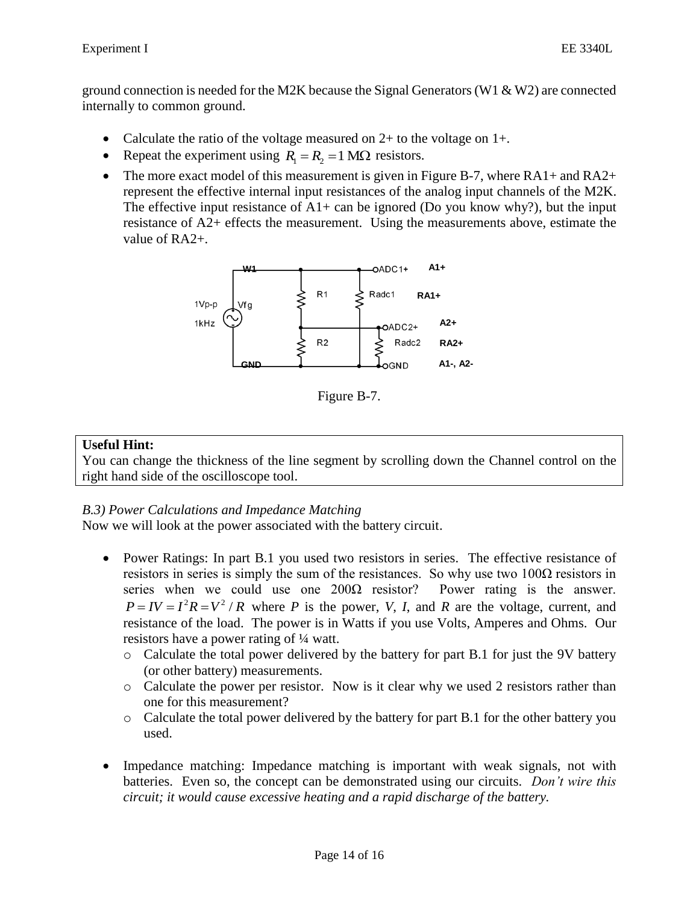ground connection is needed for the M2K because the Signal Generators (W1  $\&$  W2) are connected internally to common ground.

- Calculate the ratio of the voltage measured on  $2+$  to the voltage on  $1+.$
- Repeat the experiment using  $R_1 = R_2 = 1$  M $\Omega$  resistors.
- The more exact model of this measurement is given in Figure B-7, where  $RA1+$  and  $RA2+$ represent the effective internal input resistances of the analog input channels of the M2K. The effective input resistance of  $A1+$  can be ignored (Do you know why?), but the input resistance of A2+ effects the measurement. Using the measurements above, estimate the value of RA2+.



Figure B-7.

### **Useful Hint:**

You can change the thickness of the line segment by scrolling down the Channel control on the right hand side of the oscilloscope tool.

## *B.3) Power Calculations and Impedance Matching*

Now we will look at the power associated with the battery circuit.

- Power Ratings: In part B.1 you used two resistors in series. The effective resistance of resistors in series is simply the sum of the resistances. So why use two  $100\Omega$  resistors in series when we could use one  $200\Omega$  resistor? Power rating is the answer.  $P = IV = I^2 R = V^2 / R$  where *P* is the power, *V*, *I*, and *R* are the voltage, current, and resistance of the load. The power is in Watts if you use Volts, Amperes and Ohms. Our resistors have a power rating of ¼ watt.
	- $\circ$  Calculate the total power delivered by the battery for part B.1 for just the 9V battery (or other battery) measurements.
	- o Calculate the power per resistor. Now is it clear why we used 2 resistors rather than one for this measurement?
	- o Calculate the total power delivered by the battery for part B.1 for the other battery you used.
- Impedance matching: Impedance matching is important with weak signals, not with batteries. Even so, the concept can be demonstrated using our circuits. *Don't wire this circuit; it would cause excessive heating and a rapid discharge of the battery.*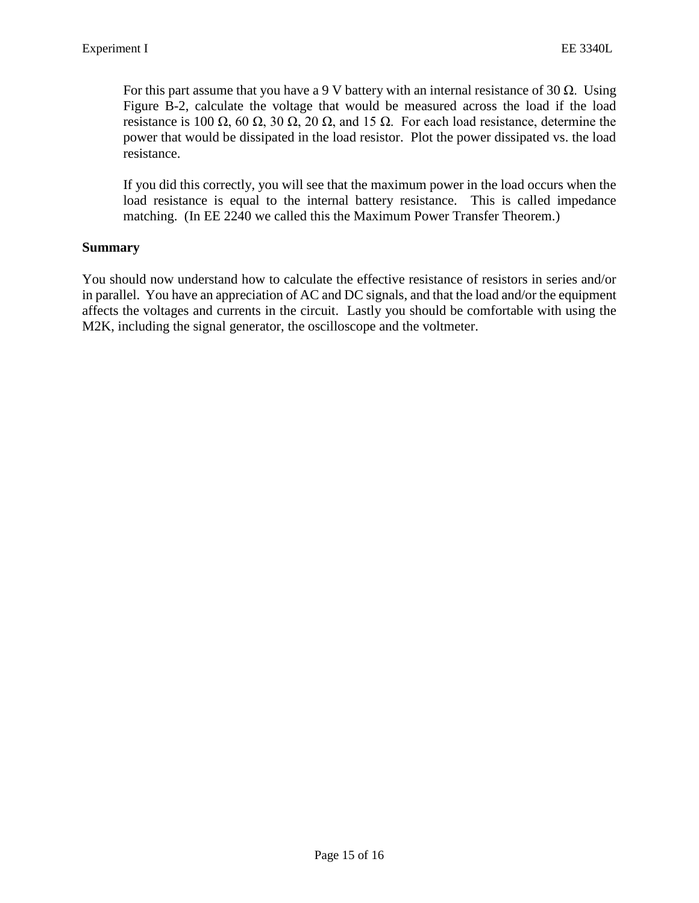For this part assume that you have a 9 V battery with an internal resistance of 30  $\Omega$ . Using Figure B-2, calculate the voltage that would be measured across the load if the load resistance is 100 Ω, 60 Ω, 30 Ω, 20 Ω, and 15 Ω. For each load resistance, determine the power that would be dissipated in the load resistor. Plot the power dissipated vs. the load resistance.

If you did this correctly, you will see that the maximum power in the load occurs when the load resistance is equal to the internal battery resistance. This is called impedance matching. (In EE 2240 we called this the Maximum Power Transfer Theorem.)

#### **Summary**

You should now understand how to calculate the effective resistance of resistors in series and/or in parallel. You have an appreciation of AC and DC signals, and that the load and/or the equipment affects the voltages and currents in the circuit. Lastly you should be comfortable with using the M2K, including the signal generator, the oscilloscope and the voltmeter.